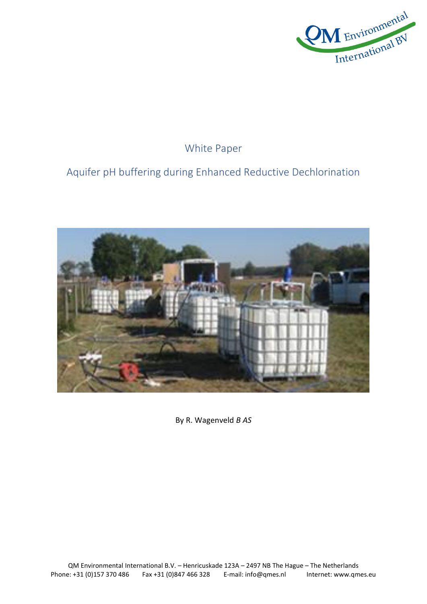

## White Paper

# Aquifer pH buffering during Enhanced Reductive Dechlorination



By R. Wagenveld *B AS*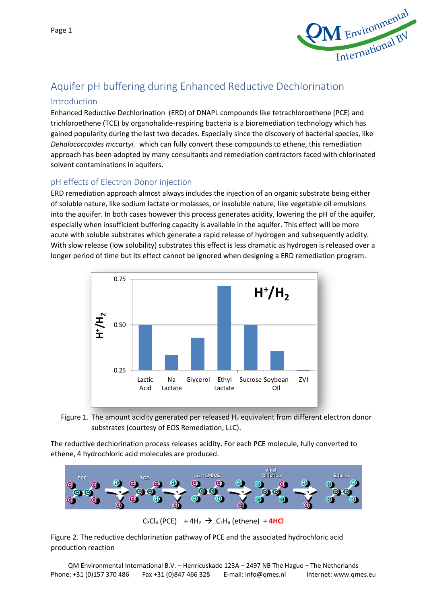

## Aquifer pH buffering during Enhanced Reductive Dechlorination

#### Introduction

Enhanced Reductive Dechlorination (ERD) of DNAPL compounds like tetrachloroethene (PCE) and trichloroethene (TCE) by organohalide-respiring bacteria is a bioremediation technology which has gained popularity during the last two decades. Especially since the discovery of bacterial species, like *Dehalococcoides mccartyi,* which can fully convert these compounds to ethene, this remediation approach has been adopted by many consultants and remediation contractors faced with chlorinated solvent contaminations in aquifers.

### pH effects of Electron Donor injection

ERD remediation approach almost always includes the injection of an organic substrate being either of soluble nature, like sodium lactate or molasses, or insoluble nature, like vegetable oil emulsions into the aquifer. In both cases however this process generates acidity, lowering the pH of the aquifer, especially when insufficient buffering capacity is available in the aquifer. This effect will be more acute with soluble substrates which generate a rapid release of hydrogen and subsequently acidity. With slow release (low solubility) substrates this effect is less dramatic as hydrogen is released over a longer period of time but its effect cannot be ignored when designing a ERD remediation program.





The reductive dechlorination process releases acidity. For each PCE molecule, fully converted to ethene, 4 hydrochloric acid molecules are produced.



 $C_2Cl_4$  (PCE) + 4H<sub>2</sub>  $\rightarrow$   $C_2H_4$  (ethene) + 4HCl

Figure 2. The reductive dechlorination pathway of PCE and the associated hydrochloric acid production reaction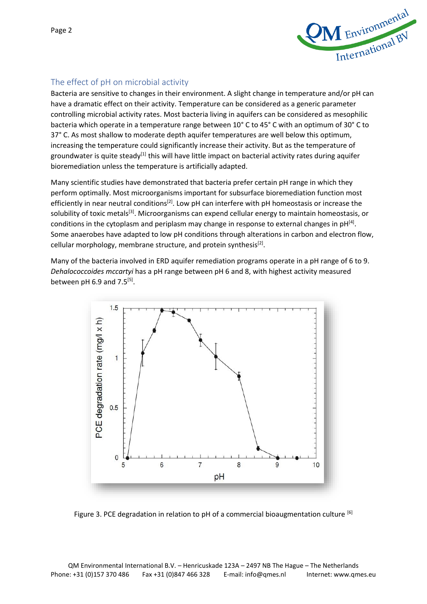

## The effect of pH on microbial activity

Bacteria are sensitive to changes in their environment. A slight change in temperature and/or pH can have a dramatic effect on their activity. Temperature can be considered as a generic parameter controlling microbial activity rates. Most bacteria living in aquifers can be considered as mesophilic bacteria which operate in a temperature range between 10° C to 45° C with an optimum of 30° C to 37° C. As most shallow to moderate depth aquifer temperatures are well below this optimum, increasing the temperature could significantly increase their activity. But as the temperature of groundwater is quite steady<sup>[1]</sup> this will have little impact on bacterial activity rates during aquifer bioremediation unless the temperature is artificially adapted.

Many scientific studies have demonstrated that bacteria prefer certain pH range in which they perform optimally. Most microorganisms important for subsurface bioremediation function most efficiently in near neutral conditions<sup>[2]</sup>. Low pH can interfere with pH homeostasis or increase the solubility of toxic metals<sup>[3]</sup>. Microorganisms can expend cellular energy to maintain homeostasis, or conditions in the cytoplasm and periplasm may change in response to external changes in pH $^{[4]}$ . Some anaerobes have adapted to low pH conditions through alterations in carbon and electron flow, cellular morphology, membrane structure, and protein synthesis<sup>[2]</sup>.

Many of the bacteria involved in ERD aquifer remediation programs operate in a pH range of 6 to 9. *Dehalococcoides mccartyi* has a pH range between pH 6 and 8, with highest activity measured between pH 6.9 and  $7.5^{[5]}$ .



Figure 3. PCE degradation in relation to pH of a commercial bioaugmentation culture [6]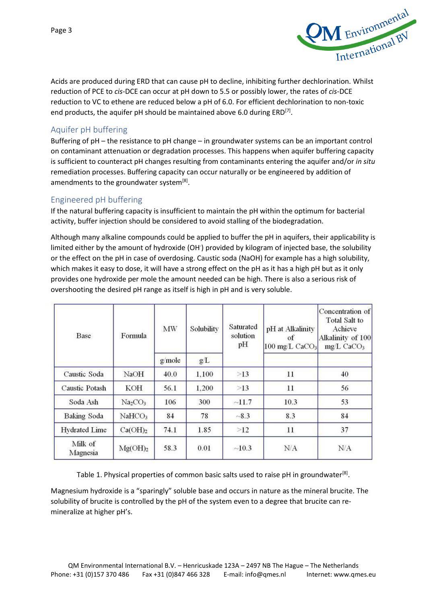

Acids are produced during ERD that can cause pH to decline, inhibiting further dechlorination. Whilst reduction of PCE to *cis*-DCE can occur at pH down to 5.5 or possibly lower, the rates of *cis*-DCE reduction to VC to ethene are reduced below a pH of 6.0. For efficient dechlorination to non-toxic end products, the aquifer pH should be maintained above 6.0 during  $ERD^{[7]}$ .

#### Aquifer pH buffering

Buffering of pH – the resistance to pH change – in groundwater systems can be an important control on contaminant attenuation or degradation processes. This happens when aquifer buffering capacity is sufficient to counteract pH changes resulting from contaminants entering the aquifer and/or *in situ* remediation processes. Buffering capacity can occur naturally or be engineered by [addition of](https://www.enviro.wiki/index.php?title=Injection_Techniques_for_Liquid_Amendments)  [amendments](https://www.enviro.wiki/index.php?title=Injection_Techniques_for_Liquid_Amendments) to the groundwater system<sup>[8]</sup>.

#### Engineered pH buffering

If the natural buffering capacity is insufficient to maintain the pH within the optimum for bacterial activity, buffer injection should be considered to avoid stalling of the biodegradation.

Although many alkaline compounds could be applied to buffer the pH in aquifers, their applicability is limited either by the amount of hydroxide (OH<sup>-</sup>) provided by kilogram of injected base, the solubility or the effect on the pH in case of overdosing. Caustic soda (NaOH) for example has a high solubility, which makes it easy to dose, it will have a strong effect on the pH as it has a high pH but as it only provides one hydroxide per mole the amount needed can be high. There is also a serious risk of overshooting the desired pH range as itself is high in pH and is very soluble.

| Base                 | Formula                         | MW     | Solubility | Saturated<br>solution<br>pH | pH at Alkalinity<br>of<br>$100 \text{ mg/L}$ CaCO <sub>3</sub> | Concentration of<br><b>Total Salt to</b><br>Achieve<br>Alkalinity of 100<br>$mg/L$ CaCO <sub>3</sub> |
|----------------------|---------------------------------|--------|------------|-----------------------------|----------------------------------------------------------------|------------------------------------------------------------------------------------------------------|
|                      |                                 | g/mole | g/L        |                             |                                                                |                                                                                                      |
| Caustic Soda         | NaOH                            | 40.0   | 1.100      | >13                         | 11                                                             | 40                                                                                                   |
| Caustic Potash       | KOH                             | 56.1   | 1,200      | >13                         | 11                                                             | 56                                                                                                   |
| Soda Ash             | Na <sub>2</sub> CO <sub>3</sub> | 106    | 300        | ~11.7                       | 10.3                                                           | 53                                                                                                   |
| <b>Baking Soda</b>   | NaHCO <sub>3</sub>              | 84     | 78         | $-8.3$                      | 8.3                                                            | 84                                                                                                   |
| <b>Hydrated Lime</b> | Ca(OH) <sub>2</sub>             | 74.1   | 1.85       | >12                         | 11                                                             | 37                                                                                                   |
| Milk of<br>Magnesia  | Mg(OH) <sub>2</sub>             | 58.3   | 0.01       | ~10.3                       | N/A                                                            | $\rm N/A$                                                                                            |

Table 1. Physical properties of common basic salts used to raise pH in groundwater<sup>[8]</sup>.

Magnesium hydroxide is a "sparingly" soluble base and occurs in nature as the mineral brucite. The solubility of brucite is controlled by the pH of the system even to a degree that brucite can remineralize at higher pH's.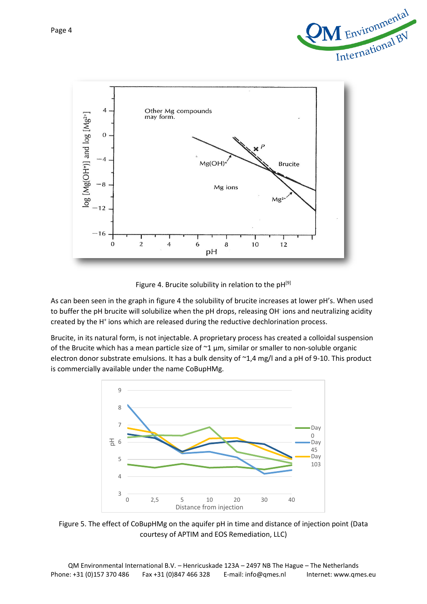



Figure 4. Brucite solubility in relation to the pH<sup>[9]</sup>

As can been seen in the graph in figure 4 the solubility of brucite increases at lower pH's. When used to buffer the pH brucite will solubilize when the pH drops, releasing OH<sup>-</sup> ions and neutralizing acidity created by the H<sup>+</sup> ions which are released during the reductive dechlorination process.

Brucite, in its natural form, is not injectable. A proprietary process has created a colloidal suspension of the Brucite which has a mean particle size of  $\sim$ 1  $\mu$ m, similar or smaller to non-soluble organic electron donor substrate emulsions. It has a bulk density of  $\sim$ 1,4 mg/l and a pH of 9-10. This product is commercially available under the name CoBupHMg.



Figure 5. The effect of CoBupHMg on the aquifer pH in time and distance of injection point (Data courtesy of APTIM and EOS Remediation, LLC)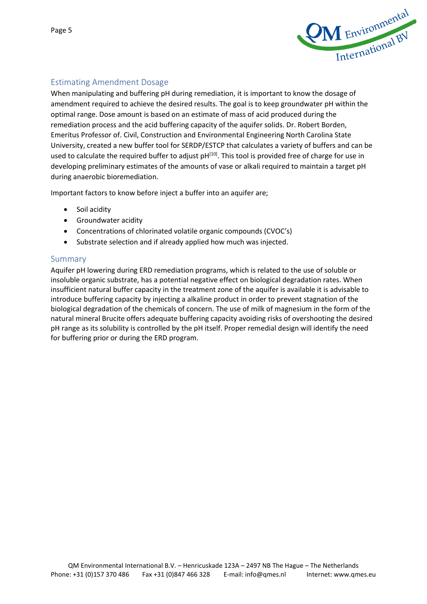

## Estimating Amendment Dosage

When manipulating and buffering pH during remediation, it is important to know the dosage of amendment required to achieve the desired results. The goal is to keep groundwater pH within the optimal range. Dose amount is based on an estimate of mass of acid produced during the remediation process and the acid buffering capacity of the aquifer solids. Dr. Robert Borden, Emeritus Professor of. Civil, Construction and Environmental Engineering North Carolina State University, created a new buffer tool for SERDP/ESTCP that calculates a variety of buffers and can be used to calculate the required buffer to adjust pH<sup>[10]</sup>. This tool is provided free of charge for use in developing preliminary estimates of the amounts of vase or alkali required to maintain a target pH during anaerobic bioremediation.

Important factors to know before inject a buffer into an aquifer are;

- Soil acidity
- Groundwater acidity
- Concentrations of chlorinated volatile organic compounds (CVOC's)
- Substrate selection and if already applied how much was injected.

#### Summary

Aquifer pH lowering during ERD remediation programs, which is related to the use of soluble or insoluble organic substrate, has a potential negative effect on biological degradation rates. When insufficient natural buffer capacity in the treatment zone of the aquifer is available it is advisable to introduce buffering capacity by injecting a alkaline product in order to prevent stagnation of the biological degradation of the chemicals of concern. The use of milk of magnesium in the form of the natural mineral Brucite offers adequate buffering capacity avoiding risks of overshooting the desired pH range as its solubility is controlled by the pH itself. Proper remedial design will identify the need for buffering prior or during the ERD program.